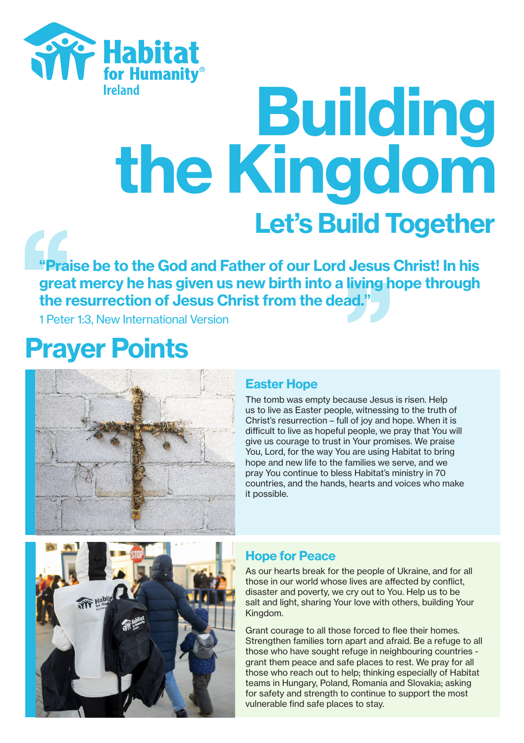

# Euilding<br>the Kingdom Let's Build Together

"Praise be to the God and Father of our Lord Jesus Christ! In his great mercy he has given us new birth into a living hope through the resurrection of Jesus Christ from the dead."

1 Peter 1:3, New International Version

## Prayer Points



#### Easter Hope

The tomb was empty because Jesus is risen. Help us to live as Easter people, witnessing to the truth of Christ's resurrection – full of joy and hope. When it is difficult to live as hopeful people, we pray that You will give us courage to trust in Your promises. We praise You, Lord, for the way You are using Habitat to bring hope and new life to the families we serve, and we pray You continue to bless Habitat's ministry in 70 countries, and the hands, hearts and voices who make it possible.



#### Hope for Peace

As our hearts break for the people of Ukraine, and for all those in our world whose lives are affected by conflict, disaster and poverty, we cry out to You. Help us to be salt and light, sharing Your love with others, building Your Kingdom.

Grant courage to all those forced to flee their homes. Strengthen families torn apart and afraid. Be a refuge to all those who have sought refuge in neighbouring countries grant them peace and safe places to rest. We pray for all those who reach out to help; thinking especially of Habitat teams in Hungary, Poland, Romania and Slovakia; asking for safety and strength to continue to support the most vulnerable find safe places to stay.